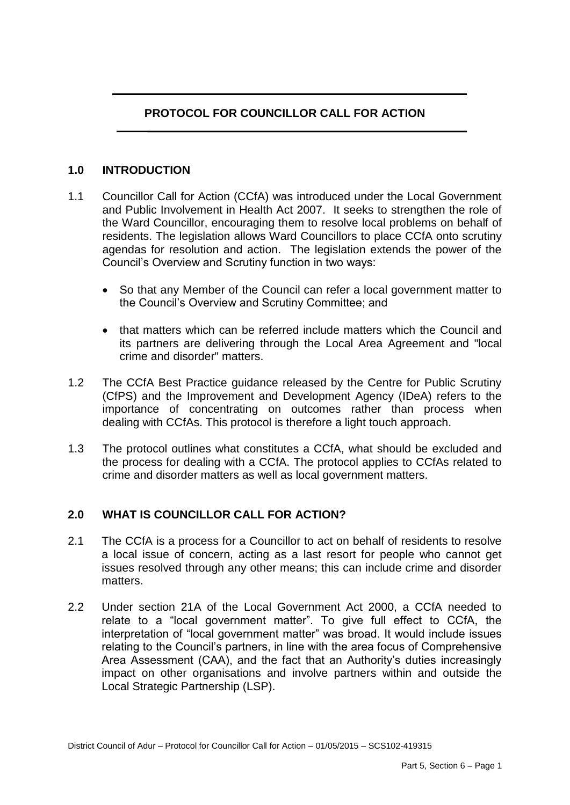# **PROTOCOL FOR COUNCILLOR CALL FOR ACTION**

### **1.0 INTRODUCTION**

- 1.1 Councillor Call for Action (CCfA) was introduced under the Local Government and Public Involvement in Health Act 2007. It seeks to strengthen the role of the Ward Councillor, encouraging them to resolve local problems on behalf of residents. The legislation allows Ward Councillors to place CCfA onto scrutiny agendas for resolution and action. The legislation extends the power of the Council's Overview and Scrutiny function in two ways:
	- So that any Member of the Council can refer a local government matter to the Council's Overview and Scrutiny Committee; and
	- that matters which can be referred include matters which the Council and its partners are delivering through the Local Area Agreement and "local crime and disorder" matters.
- 1.2 The CCfA Best Practice guidance released by the Centre for Public Scrutiny (CfPS) and the Improvement and Development Agency (IDeA) refers to the importance of concentrating on outcomes rather than process when dealing with CCfAs. This protocol is therefore a light touch approach.
- 1.3 The protocol outlines what constitutes a CCfA, what should be excluded and the process for dealing with a CCfA. The protocol applies to CCfAs related to crime and disorder matters as well as local government matters.

### **2.0 WHAT IS COUNCILLOR CALL FOR ACTION?**

- 2.1 The CCfA is a process for a Councillor to act on behalf of residents to resolve a local issue of concern, acting as a last resort for people who cannot get issues resolved through any other means; this can include crime and disorder matters.
- 2.2 Under section 21A of the Local Government Act 2000, a CCfA needed to relate to a "local government matter". To give full effect to CCfA, the interpretation of "local government matter" was broad. It would include issues relating to the Council's partners, in line with the area focus of Comprehensive Area Assessment (CAA), and the fact that an Authority's duties increasingly impact on other organisations and involve partners within and outside the Local Strategic Partnership (LSP).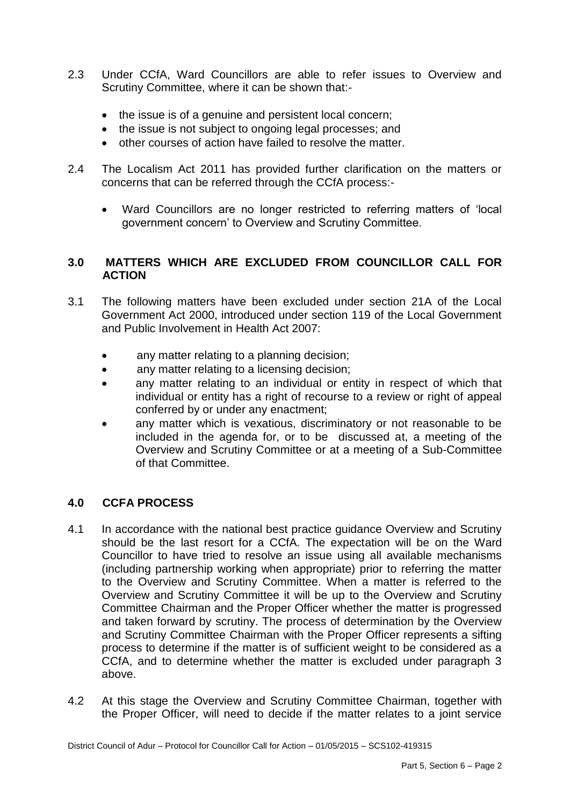- 2.3 Under CCfA, Ward Councillors are able to refer issues to Overview and Scrutiny Committee, where it can be shown that:-
	- the issue is of a genuine and persistent local concern;
	- the issue is not subject to ongoing legal processes; and
	- other courses of action have failed to resolve the matter.
- 2.4 The Localism Act 2011 has provided further clarification on the matters or concerns that can be referred through the CCfA process:-
	- Ward Councillors are no longer restricted to referring matters of 'local government concern' to Overview and Scrutiny Committee.

### **3.0 MATTERS WHICH ARE EXCLUDED FROM COUNCILLOR CALL FOR ACTION**

- 3.1 The following matters have been excluded under section 21A of the Local Government Act 2000, introduced under section 119 of the Local Government and Public Involvement in Health Act 2007:
	- any matter relating to a planning decision;
	- any matter relating to a licensing decision;
	- any matter relating to an individual or entity in respect of which that individual or entity has a right of recourse to a review or right of appeal conferred by or under any enactment;
	- any matter which is vexatious, discriminatory or not reasonable to be included in the agenda for, or to be discussed at, a meeting of the Overview and Scrutiny Committee or at a meeting of a Sub-Committee of that Committee.

## **4.0 CCFA PROCESS**

- 4.1 In accordance with the national best practice guidance Overview and Scrutiny should be the last resort for a CCfA. The expectation will be on the Ward Councillor to have tried to resolve an issue using all available mechanisms (including partnership working when appropriate) prior to referring the matter to the Overview and Scrutiny Committee. When a matter is referred to the Overview and Scrutiny Committee it will be up to the Overview and Scrutiny Committee Chairman and the Proper Officer whether the matter is progressed and taken forward by scrutiny. The process of determination by the Overview and Scrutiny Committee Chairman with the Proper Officer represents a sifting process to determine if the matter is of sufficient weight to be considered as a CCfA, and to determine whether the matter is excluded under paragraph 3 above.
- 4.2 At this stage the Overview and Scrutiny Committee Chairman, together with the Proper Officer, will need to decide if the matter relates to a joint service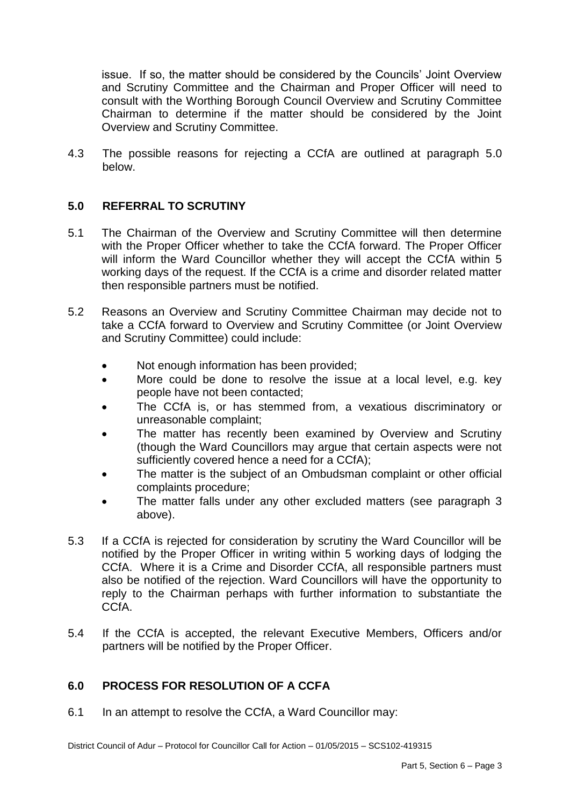issue. If so, the matter should be considered by the Councils' Joint Overview and Scrutiny Committee and the Chairman and Proper Officer will need to consult with the Worthing Borough Council Overview and Scrutiny Committee Chairman to determine if the matter should be considered by the Joint Overview and Scrutiny Committee.

4.3 The possible reasons for rejecting a CCfA are outlined at paragraph 5.0 below.

### **5.0 REFERRAL TO SCRUTINY**

- 5.1 The Chairman of the Overview and Scrutiny Committee will then determine with the Proper Officer whether to take the CCfA forward. The Proper Officer will inform the Ward Councillor whether they will accept the CCfA within 5 working days of the request. If the CCfA is a crime and disorder related matter then responsible partners must be notified.
- 5.2 Reasons an Overview and Scrutiny Committee Chairman may decide not to take a CCfA forward to Overview and Scrutiny Committee (or Joint Overview and Scrutiny Committee) could include:
	- Not enough information has been provided;
	- More could be done to resolve the issue at a local level, e.g. key people have not been contacted;
	- The CCfA is, or has stemmed from, a vexatious discriminatory or unreasonable complaint;
	- The matter has recently been examined by Overview and Scrutiny (though the Ward Councillors may argue that certain aspects were not sufficiently covered hence a need for a CCfA);
	- The matter is the subject of an Ombudsman complaint or other official complaints procedure;
	- The matter falls under any other excluded matters (see paragraph 3 above).
- 5.3 If a CCfA is rejected for consideration by scrutiny the Ward Councillor will be notified by the Proper Officer in writing within 5 working days of lodging the CCfA. Where it is a Crime and Disorder CCfA, all responsible partners must also be notified of the rejection. Ward Councillors will have the opportunity to reply to the Chairman perhaps with further information to substantiate the CCfA.
- 5.4 If the CCfA is accepted, the relevant Executive Members, Officers and/or partners will be notified by the Proper Officer.

## **6.0 PROCESS FOR RESOLUTION OF A CCFA**

6.1 In an attempt to resolve the CCfA, a Ward Councillor may: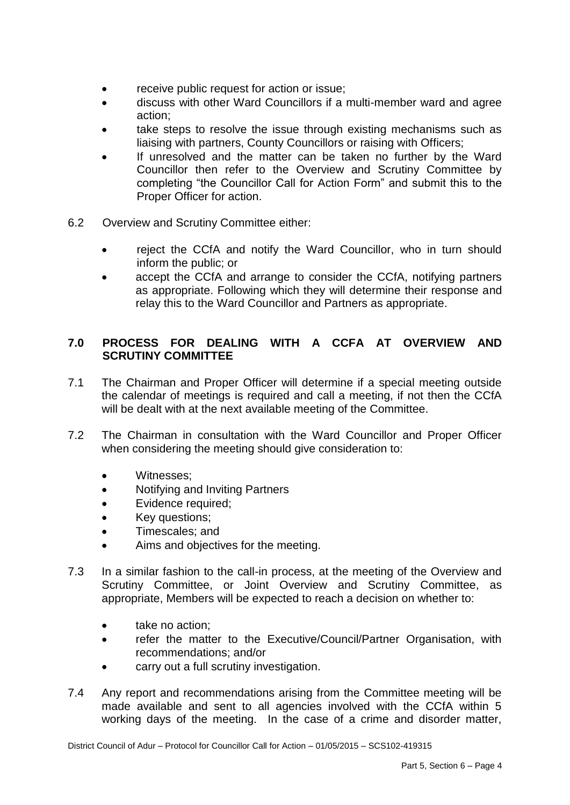- receive public request for action or issue;
- discuss with other Ward Councillors if a multi-member ward and agree action;
- take steps to resolve the issue through existing mechanisms such as liaising with partners, County Councillors or raising with Officers;
- If unresolved and the matter can be taken no further by the Ward Councillor then refer to the Overview and Scrutiny Committee by completing "the Councillor Call for Action Form" and submit this to the Proper Officer for action.
- 6.2 Overview and Scrutiny Committee either:
	- reject the CCfA and notify the Ward Councillor, who in turn should inform the public; or
	- accept the CCfA and arrange to consider the CCfA, notifying partners as appropriate. Following which they will determine their response and relay this to the Ward Councillor and Partners as appropriate.

### **7.0 PROCESS FOR DEALING WITH A CCFA AT OVERVIEW AND SCRUTINY COMMITTEE**

- 7.1 The Chairman and Proper Officer will determine if a special meeting outside the calendar of meetings is required and call a meeting, if not then the CCfA will be dealt with at the next available meeting of the Committee.
- 7.2 The Chairman in consultation with the Ward Councillor and Proper Officer when considering the meeting should give consideration to:
	- Witnesses;
	- Notifying and Inviting Partners
	- Evidence required;
	- Key questions;
	- Timescales: and
	- Aims and objectives for the meeting.
- 7.3 In a similar fashion to the call-in process, at the meeting of the Overview and Scrutiny Committee, or Joint Overview and Scrutiny Committee, as appropriate, Members will be expected to reach a decision on whether to:
	- take no action:
	- refer the matter to the Executive/Council/Partner Organisation, with recommendations; and/or
	- carry out a full scrutiny investigation.
- 7.4 Any report and recommendations arising from the Committee meeting will be made available and sent to all agencies involved with the CCfA within 5 working days of the meeting. In the case of a crime and disorder matter,